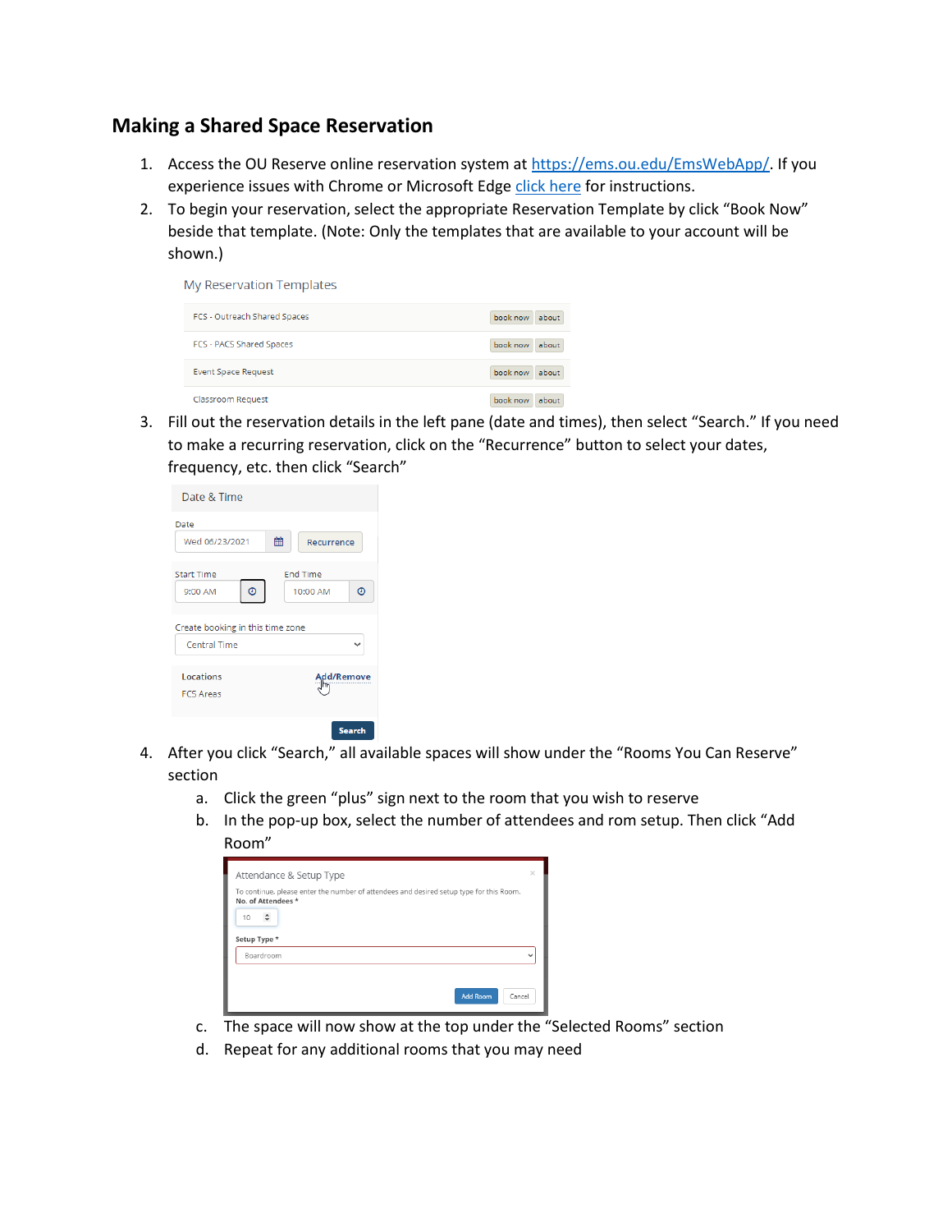## **Making a Shared Space Reservation**

- 1. Access the OU Reserve online reservation system at [https://ems.ou.edu/EmsWebApp/.](https://ems.ou.edu/EmsWebApp/) If you experience issues with Chrome or Microsoft Edg[e click here](https://ou.edu/content/dam/scheduling/docs/Browser%20Assistance%20-%20OU%20Reserve.pdf) for instructions.
- 2. To begin your reservation, select the appropriate Reservation Template by click "Book Now" beside that template. (Note: Only the templates that are available to your account will be shown.)

| My Reservation Templates        |                   |
|---------------------------------|-------------------|
| FCS - Outreach Shared Spaces    | book now<br>about |
| <b>FCS - PACS Shared Spaces</b> | book now<br>about |
| <b>Event Space Request</b>      | book now<br>about |
| Classroom Request               | book now<br>about |

3. Fill out the reservation details in the left pane (date and times), then select "Search." If you need to make a recurring reservation, click on the "Recurrence" button to select your dates, frequency, etc. then click "Search"

| Date & Time                                      |   |                                  |
|--------------------------------------------------|---|----------------------------------|
| Date<br>Wed 06/23/2021                           | 鱛 | <b>Recurrence</b>                |
| <b>Start Time</b><br>$\odot$<br>9:00 AM          |   | <b>End Time</b><br>Θ<br>10:00 AM |
| Create booking in this time zone<br>Central Time |   |                                  |
| Locations<br><b>FCS Areas</b>                    |   | Add/Remov                        |
|                                                  |   | Search                           |

- 4. After you click "Search," all available spaces will show under the "Rooms You Can Reserve" section
	- a. Click the green "plus" sign next to the room that you wish to reserve
	- b. In the pop-up box, select the number of attendees and rom setup. Then click "Add Room"

| Attendance & Setup Type                                                                                       | $\times$     |
|---------------------------------------------------------------------------------------------------------------|--------------|
| To continue, please enter the number of attendees and desired setup type for this Room.<br>No. of Attendees * |              |
| 10<br>÷                                                                                                       |              |
| Setup Type *                                                                                                  |              |
| Boardroom                                                                                                     | $\checkmark$ |
|                                                                                                               |              |
| <b>Add Room</b><br>Cancel                                                                                     |              |

- c. The space will now show at the top under the "Selected Rooms" section
- d. Repeat for any additional rooms that you may need